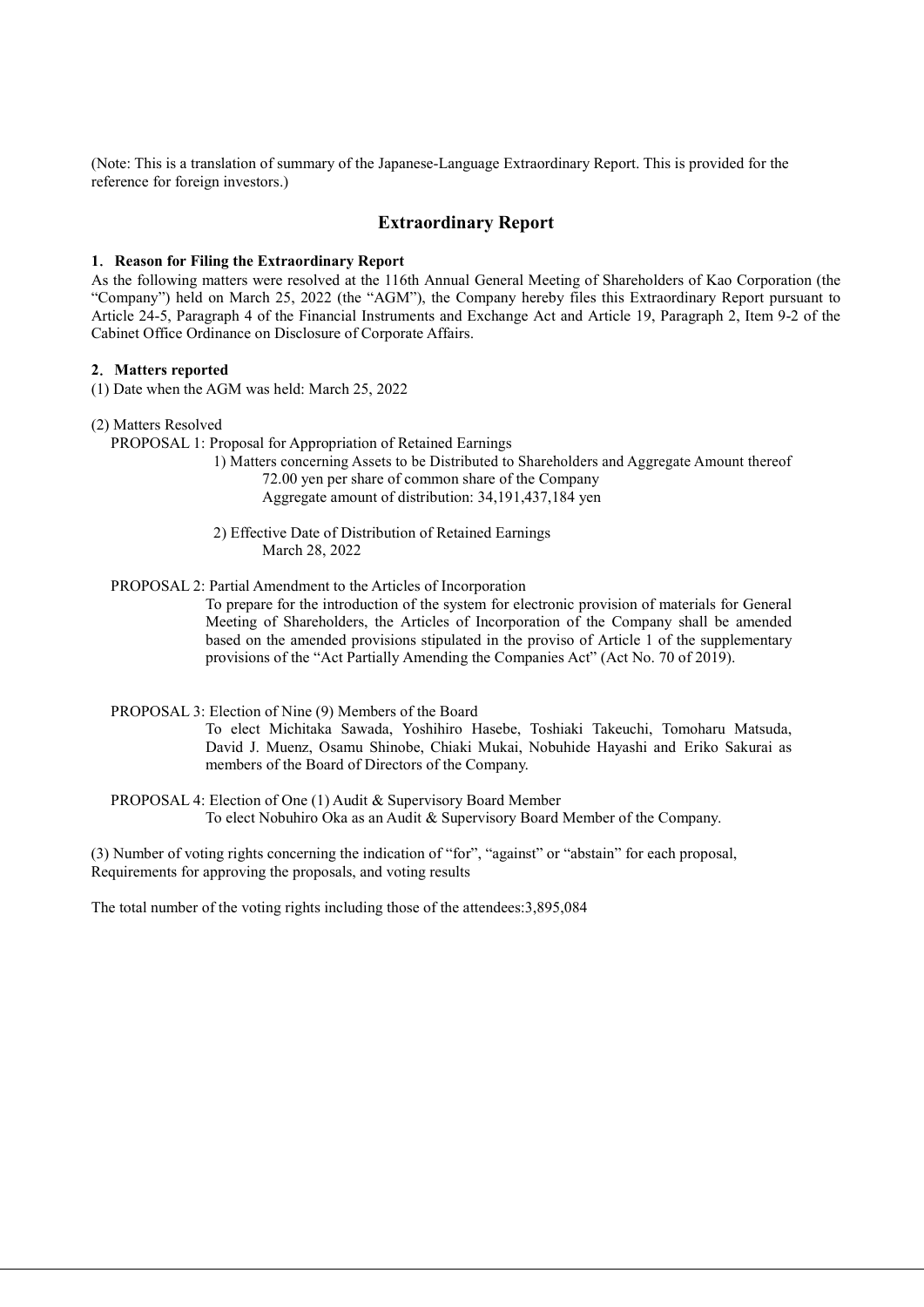(Note: This is a translation of summary of the Japanese-Language Extraordinary Report. This is provided for the reference for foreign investors.)

## Extraordinary Report

## 1. Reason for Filing the Extraordinary Report

As the following matters were resolved at the 116th Annual General Meeting of Shareholders of Kao Corporation (the "Company") held on March 25, 2022 (the "AGM"), the Company hereby files this Extraordinary Report pursuant to Article 24-5, Paragraph 4 of the Financial Instruments and Exchange Act and Article 19, Paragraph 2, Item 9-2 of the Cabinet Office Ordinance on Disclosure of Corporate Affairs.

## 2.Matters reported

(1) Date when the AGM was held: March 25, 2022

(2) Matters Resolved

PROPOSAL 1: Proposal for Appropriation of Retained Earnings

1) Matters concerning Assets to be Distributed to Shareholders and Aggregate Amount thereof 72.00 yen per share of common share of the Company Aggregate amount of distribution: 34,191,437,184 yen

2) Effective Date of Distribution of Retained Earnings March 28, 2022

PROPOSAL 2: Partial Amendment to the Articles of Incorporation

To prepare for the introduction of the system for electronic provision of materials for General Meeting of Shareholders, the Articles of Incorporation of the Company shall be amended based on the amended provisions stipulated in the proviso of Article 1 of the supplementary provisions of the "Act Partially Amending the Companies Act" (Act No. 70 of 2019).

PROPOSAL 3: Election of Nine (9) Members of the Board

To elect Michitaka Sawada, Yoshihiro Hasebe, Toshiaki Takeuchi, Tomoharu Matsuda, David J. Muenz, Osamu Shinobe, Chiaki Mukai, Nobuhide Hayashi and Eriko Sakurai as members of the Board of Directors of the Company.

PROPOSAL 4: Election of One (1) Audit & Supervisory Board Member To elect Nobuhiro Oka as an Audit & Supervisory Board Member of the Company.

(3) Number of voting rights concerning the indication of "for", "against" or "abstain" for each proposal, Requirements for approving the proposals, and voting results

The total number of the voting rights including those of the attendees:3,895,084